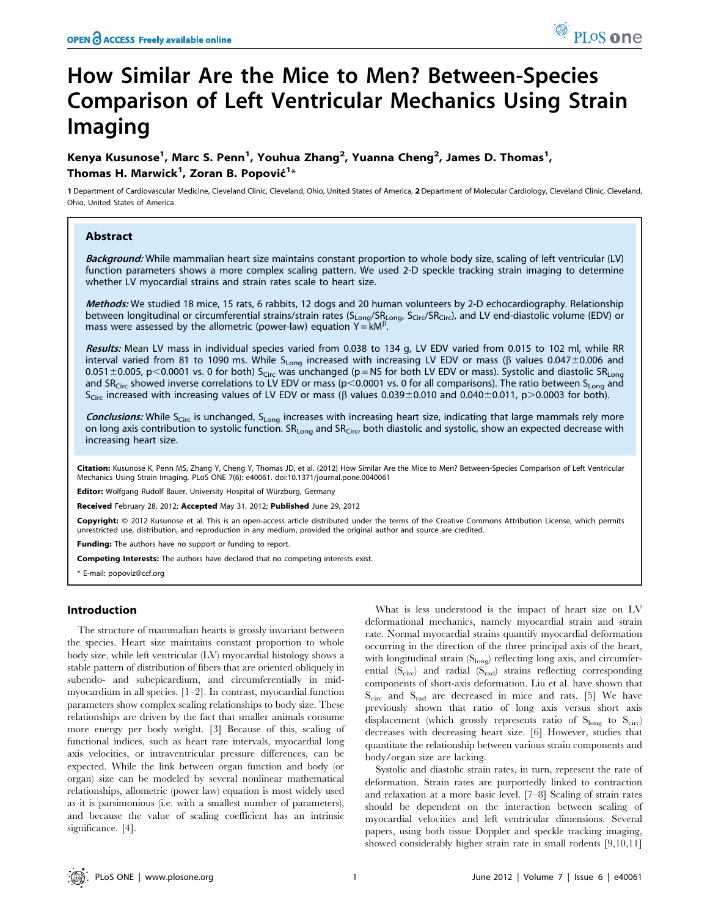# How Similar Are the Mice to Men? Between-Species Comparison of Left Ventricular Mechanics Using Strain Imaging

Kenya Kusunose<sup>1</sup>, Marc S. Penn<sup>1</sup>, Youhua Zhang<sup>2</sup>, Yuanna Cheng<sup>2</sup>, James D. Thomas<sup>1</sup>, Thomas H. Marwick $^1$ , Zoran B. Popović $^{1\ast}$ 

1 Department of Cardiovascular Medicine, Cleveland Clinic, Cleveland, Ohio, United States of America, 2 Department of Molecular Cardiology, Cleveland Clinic, Cleveland, Ohio, United States of America

# Abstract

Background: While mammalian heart size maintains constant proportion to whole body size, scaling of left ventricular (LV) function parameters shows a more complex scaling pattern. We used 2-D speckle tracking strain imaging to determine whether LV myocardial strains and strain rates scale to heart size.

Methods: We studied 18 mice, 15 rats, 6 rabbits, 12 dogs and 20 human volunteers by 2-D echocardiography. Relationship between longitudinal or circumferential strains/strain rates (S<sub>Long</sub>/SR<sub>Long</sub>, S<sub>Circ</sub>/SR<sub>Circ</sub>), and LV end-diastolic volume (EDV) or mass were assessed by the allometric (power-law) equation  $Y = kM^{\beta}$ .

Results: Mean LV mass in individual species varied from 0.038 to 134 g, LV EDV varied from 0.015 to 102 ml, while RR interval varied from 81 to 1090 ms. While S<sub>Long</sub> increased with increasing LV EDV or mass ( $\beta$  values 0.047±0.006 and 0.051 $\pm$ 0.005, p<0.0001 vs. 0 for both) S<sub>Circ</sub> was unchanged (p = NS for both LV EDV or mass). Systolic and diastolic SR<sub>Long</sub> and SR<sub>Circ</sub> showed inverse correlations to LV EDV or mass (p<0.0001 vs. 0 for all comparisons). The ratio between S<sub>Long</sub> and  $S_{Circ}$  increased with increasing values of LV EDV or mass ( $\beta$  values 0.039±0.010 and 0.040±0.011, p>0.0003 for both).

Conclusions: While S<sub>Circ</sub> is unchanged, S<sub>Long</sub> increases with increasing heart size, indicating that large mammals rely more on long axis contribution to systolic function. SR<sub>Long</sub> and SR<sub>Circ</sub>, both diastolic and systolic, show an expected decrease with increasing heart size.

Citation: Kusunose K, Penn MS, Zhang Y, Cheng Y, Thomas JD, et al. (2012) How Similar Are the Mice to Men? Between-Species Comparison of Left Ventricular Mechanics Using Strain Imaging. PLoS ONE 7(6): e40061. doi:10.1371/journal.pone.0040061

**Editor:** Wolfgang Rudolf Bauer, University Hospital of Würzburg, Germany

Received February 28, 2012; Accepted May 31, 2012; Published June 29, 2012

Copyright: © 2012 Kusunose et al. This is an open-access article distributed under the terms of the Creative Commons Attribution License, which permits unrestricted use, distribution, and reproduction in any medium, provided the original author and source are credited.

Funding: The authors have no support or funding to report.

Competing Interests: The authors have declared that no competing interests exist.

\* E-mail: popoviz@ccf.org

# Introduction

The structure of mammalian hearts is grossly invariant between the species. Heart size maintains constant proportion to whole body size, while left ventricular (LV) myocardial histology shows a stable pattern of distribution of fibers that are oriented obliquely in subendo- and subepicardium, and circumferentially in midmyocardium in all species. [1–2]. In contrast, myocardial function parameters show complex scaling relationships to body size. These relationships are driven by the fact that smaller animals consume more energy per body weight. [3] Because of this, scaling of functional indices, such as heart rate intervals, myocardial long axis velocities, or intraventricular pressure differences, can be expected. While the link between organ function and body (or organ) size can be modeled by several nonlinear mathematical relationships, allometric (power law) equation is most widely used as it is parsimonious (i.e. with a smallest number of parameters), and because the value of scaling coefficient has an intrinsic significance. [4].

What is less understood is the impact of heart size on LV deformational mechanics, namely myocardial strain and strain rate. Normal myocardial strains quantify myocardial deformation occurring in the direction of the three principal axis of the heart, with longitudinal strain  $(S_{long})$  reflecting long axis, and circumferential  $(S_{circ})$  and radial  $(S_{rad})$  strains reflecting corresponding components of short-axis deformation. Liu et al. have shown that  $S<sub>circ</sub>$  and  $S<sub>rad</sub>$  are decreased in mice and rats. [5] We have previously shown that ratio of long axis versus short axis displacement (which grossly represents ratio of  $S_{long}$  to  $S_{circ}$ ) decreases with decreasing heart size. [6] However, studies that quantitate the relationship between various strain components and body/organ size are lacking.

Systolic and diastolic strain rates, in turn, represent the rate of deformation. Strain rates are purportedly linked to contraction and relaxation at a more basic level. [7–8] Scaling of strain rates should be dependent on the interaction between scaling of myocardial velocities and left ventricular dimensions. Several papers, using both tissue Doppler and speckle tracking imaging, showed considerably higher strain rate in small rodents [9,10,11]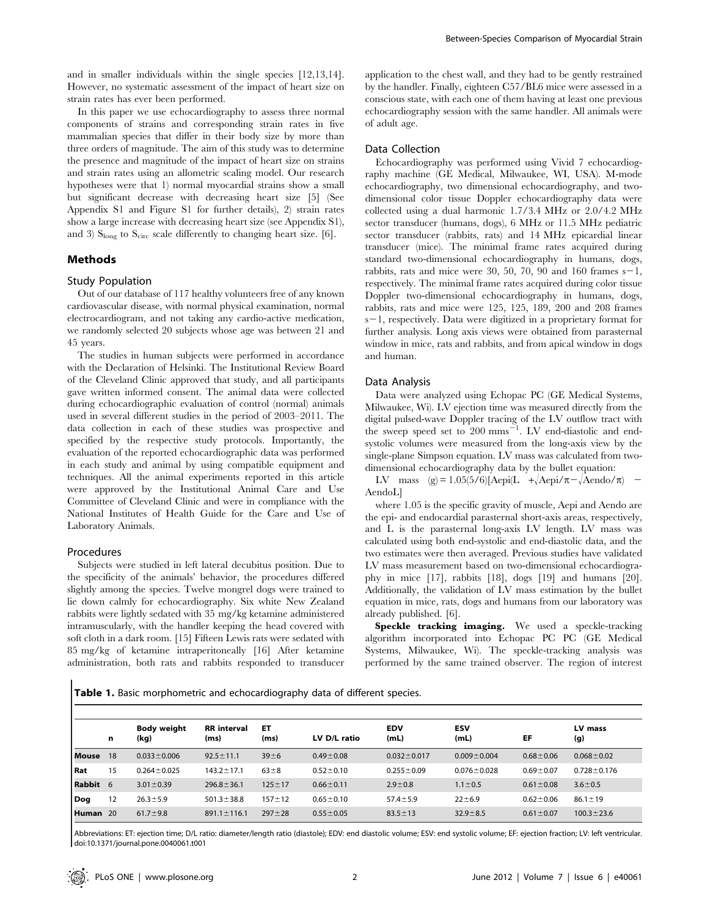and in smaller individuals within the single species [12,13,14]. However, no systematic assessment of the impact of heart size on strain rates has ever been performed.

In this paper we use echocardiography to assess three normal components of strains and corresponding strain rates in five mammalian species that differ in their body size by more than three orders of magnitude. The aim of this study was to determine the presence and magnitude of the impact of heart size on strains and strain rates using an allometric scaling model. Our research hypotheses were that 1) normal myocardial strains show a small but significant decrease with decreasing heart size [5] (See Appendix S1 and Figure S1 for further details), 2) strain rates show a large increase with decreasing heart size (see Appendix S1), and 3)  $S<sub>long</sub>$  to  $S<sub>circ</sub>$  scale differently to changing heart size. [6].

# Methods

## Study Population

Out of our database of 117 healthy volunteers free of any known cardiovascular disease, with normal physical examination, normal electrocardiogram, and not taking any cardio-active medication, we randomly selected 20 subjects whose age was between 21 and 45 years.

The studies in human subjects were performed in accordance with the Declaration of Helsinki. The Institutional Review Board of the Cleveland Clinic approved that study, and all participants gave written informed consent. The animal data were collected during echocardiographic evaluation of control (normal) animals used in several different studies in the period of 2003–2011. The data collection in each of these studies was prospective and specified by the respective study protocols. Importantly, the evaluation of the reported echocardiographic data was performed in each study and animal by using compatible equipment and techniques. All the animal experiments reported in this article were approved by the Institutional Animal Care and Use Committee of Cleveland Clinic and were in compliance with the National Institutes of Health Guide for the Care and Use of Laboratory Animals.

## Procedures

Subjects were studied in left lateral decubitus position. Due to the specificity of the animals' behavior, the procedures differed slightly among the species. Twelve mongrel dogs were trained to lie down calmly for echocardiography. Six white New Zealand rabbits were lightly sedated with 35 mg/kg ketamine administered intramuscularly, with the handler keeping the head covered with soft cloth in a dark room. [15] Fifteen Lewis rats were sedated with 85 mg/kg of ketamine intraperitoneally [16] After ketamine administration, both rats and rabbits responded to transducer

application to the chest wall, and they had to be gently restrained by the handler. Finally, eighteen C57/BL6 mice were assessed in a conscious state, with each one of them having at least one previous echocardiography session with the same handler. All animals were of adult age.

#### Data Collection

Echocardiography was performed using Vivid 7 echocardiography machine (GE Medical, Milwaukee, WI, USA). M-mode echocardiography, two dimensional echocardiography, and twodimensional color tissue Doppler echocardiography data were collected using a dual harmonic 1.7/3.4 MHz or 2.0/4.2 MHz sector transducer (humans, dogs), 6 MHz or 11.5 MHz pediatric sector transducer (rabbits, rats) and 14 MHz epicardial linear transducer (mice). The minimal frame rates acquired during standard two-dimensional echocardiography in humans, dogs, rabbits, rats and mice were 30, 50, 70, 90 and 160 frames  $s-1$ , respectively. The minimal frame rates acquired during color tissue Doppler two-dimensional echocardiography in humans, dogs, rabbits, rats and mice were 125, 125, 189, 200 and 208 frames  $s-1$ , respectively. Data were digitized in a proprietary format for further analysis. Long axis views were obtained from parasternal window in mice, rats and rabbits, and from apical window in dogs and human.

#### Data Analysis

Data were analyzed using Echopac PC (GE Medical Systems, Milwaukee, Wi). LV ejection time was measured directly from the digital pulsed-wave Doppler tracing of the LV outflow tract with the sweep speed set to  $200$  mms<sup> $-1$ </sup>. LV end-diastolic and endsystolic volumes were measured from the long-axis view by the single-plane Simpson equation. LV mass was calculated from twodimensional echocardiography data by the bullet equation:

LV mass (g) = 1.05(5/6)[Aepi(L + $\text{Aepi}/\pi-\text{Aendo}/\pi$ ) – AendoL]

where 1.05 is the specific gravity of muscle, Aepi and Aendo are the epi- and endocardial parasternal short-axis areas, respectively, and L is the parasternal long-axis LV length. LV mass was calculated using both end-systolic and end-diastolic data, and the two estimates were then averaged. Previous studies have validated LV mass measurement based on two-dimensional echocardiography in mice [17], rabbits [18], dogs [19] and humans [20]. Additionally, the validation of LV mass estimation by the bullet equation in mice, rats, dogs and humans from our laboratory was already published. [6].

Speckle tracking imaging. We used a speckle-tracking algorithm incorporated into Echopac PC PC (GE Medical Systems, Milwaukee, Wi). The speckle-tracking analysis was performed by the same trained observer. The region of interest

Table 1. Basic morphometric and echocardiography data of different species.

|               | n  | <b>Body weight</b><br>(kg) | <b>RR</b> interval<br>(ms) | ET<br>(ms)   | LV D/L ratio    | <b>EDV</b><br>(mL) | <b>ESV</b><br>(mL) | EF              | LV mass<br>(g)    |
|---------------|----|----------------------------|----------------------------|--------------|-----------------|--------------------|--------------------|-----------------|-------------------|
| <b>Mouse</b>  | 18 | $0.033 \pm 0.006$          | $92.5 \pm 11.1$            | $39 + 6$     | $0.49 \pm 0.08$ | $0.032 \pm 0.017$  | $0.009 \pm 0.004$  | $0.68 \pm 0.06$ | $0.068 \pm 0.02$  |
| l Rat         | 15 | $0.264 \pm 0.025$          | $143.2 \pm 17.1$           | $63\pm8$     | $0.52 \pm 0.10$ | $0.255 \pm 0.09$   | $0.076 \pm 0.028$  | $0.69 + 0.07$   | $0.728 \pm 0.176$ |
| <b>Rabbit</b> | 6  | $3.01 \pm 0.39$            | $296.8 \pm 36.1$           | $125 \pm 17$ | $0.66 \pm 0.11$ | $2.9 \pm 0.8$      | $1.1 \pm 0.5$      | $0.61 \pm 0.08$ | $3.6 \pm 0.5$     |
| Dog           | 12 | $26.3 \pm 5.9$             | $501.3 \pm 38.8$           | $157 + 12$   | $0.65 \pm 0.10$ | $57.4 \pm 5.9$     | $22 \pm 6.9$       | $0.62 \pm 0.06$ | $86.1 \pm 19$     |
| <b>Human</b>  | 20 | $61.7 \pm 9.8$             | $891.1 \pm 116.1$          | $297 + 28$   | $0.55 \pm 0.05$ | $83.5 \pm 13$      | $32.9 \pm 8.5$     | $0.61 \pm 0.07$ | $100.3 \pm 23.6$  |

Abbreviations: ET: ejection time; D/L ratio: diameter/length ratio (diastole); EDV: end diastolic volume; ESV: end systolic volume; EF: ejection fraction; LV: left ventricular. doi:10.1371/journal.pone.0040061.t001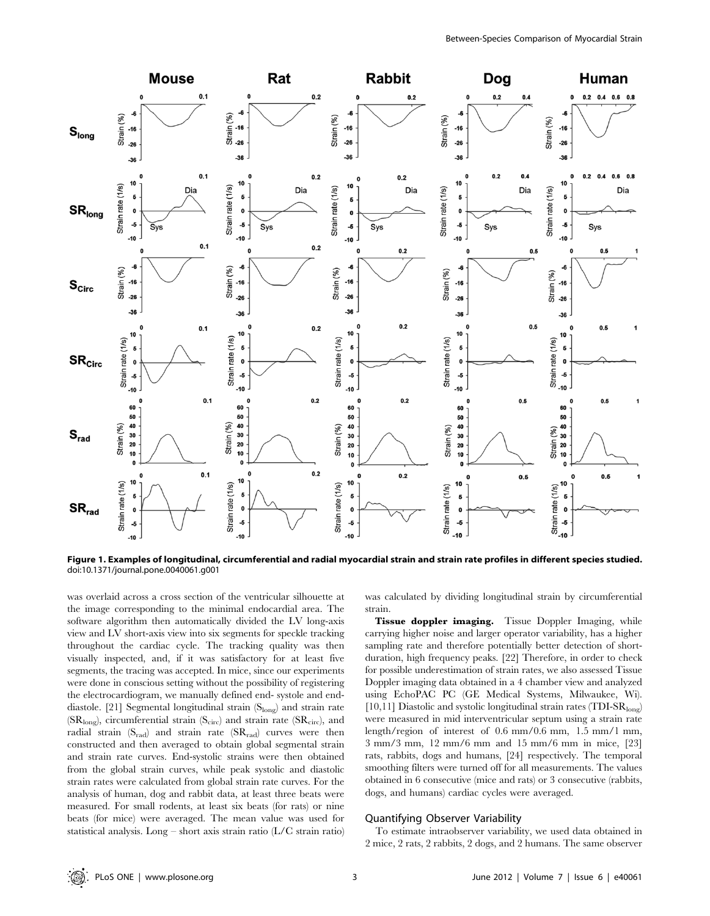

Figure 1. Examples of longitudinal, circumferential and radial myocardial strain and strain rate profiles in different species studied. doi:10.1371/journal.pone.0040061.g001

was overlaid across a cross section of the ventricular silhouette at the image corresponding to the minimal endocardial area. The software algorithm then automatically divided the LV long-axis view and LV short-axis view into six segments for speckle tracking throughout the cardiac cycle. The tracking quality was then visually inspected, and, if it was satisfactory for at least five segments, the tracing was accepted. In mice, since our experiments were done in conscious setting without the possibility of registering the electrocardiogram, we manually defined end- systole and enddiastole. [21] Segmental longitudinal strain (Slong) and strain rate  $(SR<sub>long</sub>)$ , circumferential strain  $(S<sub>circ</sub>)$  and strain rate  $(SR<sub>circ</sub>)$ , and radial strain  $(S_{rad})$  and strain rate  $(SR_{rad})$  curves were then constructed and then averaged to obtain global segmental strain and strain rate curves. End-systolic strains were then obtained from the global strain curves, while peak systolic and diastolic strain rates were calculated from global strain rate curves. For the analysis of human, dog and rabbit data, at least three beats were measured. For small rodents, at least six beats (for rats) or nine beats (for mice) were averaged. The mean value was used for statistical analysis. Long – short axis strain ratio (L/C strain ratio) was calculated by dividing longitudinal strain by circumferential strain.

Tissue doppler imaging. Tissue Doppler Imaging, while carrying higher noise and larger operator variability, has a higher sampling rate and therefore potentially better detection of shortduration, high frequency peaks. [22] Therefore, in order to check for possible underestimation of strain rates, we also assessed Tissue Doppler imaging data obtained in a 4 chamber view and analyzed using EchoPAC PC (GE Medical Systems, Milwaukee, Wi). [10,11] Diastolic and systolic longitudinal strain rates (TDI-SR $_{\text{long}}$ ) were measured in mid interventricular septum using a strain rate length/region of interest of 0.6 mm/0.6 mm, 1.5 mm/1 mm, 3 mm/3 mm, 12 mm/6 mm and 15 mm/6 mm in mice, [23] rats, rabbits, dogs and humans, [24] respectively. The temporal smoothing filters were turned off for all measurements. The values obtained in 6 consecutive (mice and rats) or 3 consecutive (rabbits, dogs, and humans) cardiac cycles were averaged.

## Quantifying Observer Variability

To estimate intraobserver variability, we used data obtained in 2 mice, 2 rats, 2 rabbits, 2 dogs, and 2 humans. The same observer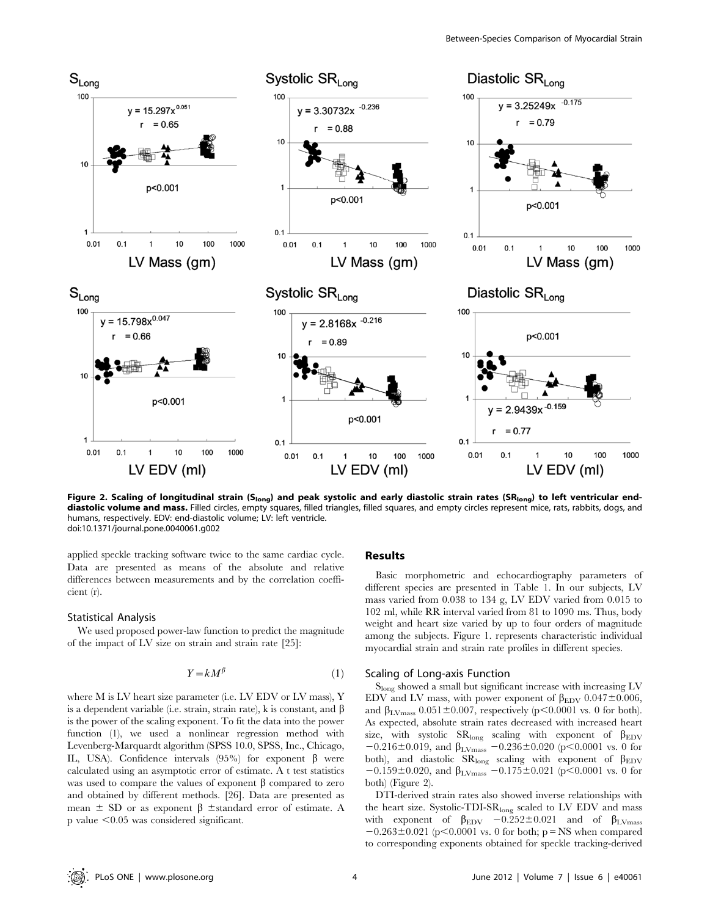

Figure 2. Scaling of longitudinal strain (S<sub>long</sub>) and peak systolic and early diastolic strain rates (SR<sub>long</sub>) to left ventricular enddiastolic volume and mass. Filled circles, empty squares, filled triangles, filled squares, and empty circles represent mice, rats, rabbits, dogs, and humans, respectively. EDV: end-diastolic volume; LV: left ventricle. doi:10.1371/journal.pone.0040061.g002

applied speckle tracking software twice to the same cardiac cycle. Data are presented as means of the absolute and relative differences between measurements and by the correlation coefficient (r).

## Statistical Analysis

We used proposed power-law function to predict the magnitude of the impact of LV size on strain and strain rate [25]:

$$
Y = kM^{\beta} \tag{1}
$$

where M is LV heart size parameter (i.e. LV EDV or LV mass), Y is a dependent variable (i.e. strain, strain rate), k is constant, and  $\beta$ is the power of the scaling exponent. To fit the data into the power function (1), we used a nonlinear regression method with Levenberg-Marquardt algorithm (SPSS 10.0, SPSS, Inc., Chicago, IL, USA). Confidence intervals (95%) for exponent  $\beta$  were calculated using an asymptotic error of estimate. A t test statistics was used to compare the values of exponent  $\beta$  compared to zero and obtained by different methods. [26]. Data are presented as mean  $\pm$  SD or as exponent  $\beta$   $\pm$ standard error of estimate. A  $p$  value  $<0.05$  was considered significant.

## Results

Basic morphometric and echocardiography parameters of different species are presented in Table 1. In our subjects, LV mass varied from 0.038 to 134 g, LV EDV varied from 0.015 to 102 ml, while RR interval varied from 81 to 1090 ms. Thus, body weight and heart size varied by up to four orders of magnitude among the subjects. Figure 1. represents characteristic individual myocardial strain and strain rate profiles in different species.

## Scaling of Long-axis Function

Slong showed a small but significant increase with increasing LV EDV and LV mass, with power exponent of  $\beta_{\rm EDV}$  0.047 $\pm$ 0.006, and  $\beta_{\text{LVmass}}$  0.051 $\pm$ 0.007, respectively (p $\leq$ 0.0001 vs. 0 for both). As expected, absolute strain rates decreased with increased heart size, with systolic  $SR_{long}$  scaling with exponent of  $\beta_{EDV}$  $-0.216\pm0.019$ , and  $\beta_{\text{LVmass}} -0.236\pm0.020$  (p $\leq 0.0001$  vs. 0 for both), and diastolic  $SR_{long}$  scaling with exponent of  $\beta_{EDV}$  $-0.159\pm0.020$ , and  $\beta_{\text{LVmass}}$   $-0.175\pm0.021$  (p $\leq0.0001$  vs. 0 for both) (Figure 2).

DTI-derived strain rates also showed inverse relationships with the heart size. Systolic-TDI-SR<sub>long</sub> scaled to LV EDV and mass with exponent of  $\beta_{EDV}$  -0.252±0.021 and of  $\beta_{LVmass}$  $-0.263 \pm 0.021$  (p<0.0001 vs. 0 for both; p = NS when compared to corresponding exponents obtained for speckle tracking-derived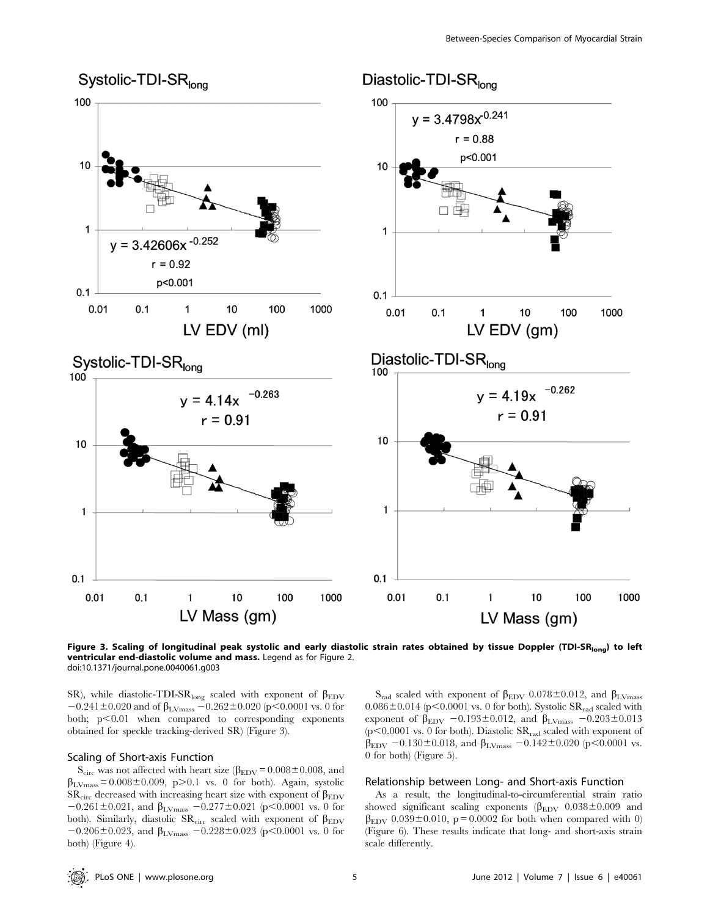

Figure 3. Scaling of longitudinal peak systolic and early diastolic strain rates obtained by tissue Doppler (TDI-SR<sub>long</sub>) to left ventricular end-diastolic volume and mass. Legend as for Figure 2. doi:10.1371/journal.pone.0040061.g003

SR), while diastolic-TDI-SR<sub>long</sub> scaled with exponent of  $\beta_{\rm EDV}$  $-0.241 \pm 0.020$  and of  $\beta_{\text{LVmass}} - 0.262 \pm 0.020$  (p $< 0.0001$  vs. 0 for both;  $p<0.01$  when compared to corresponding exponents obtained for speckle tracking-derived SR) (Figure 3).

# Scaling of Short-axis Function

 $S_{\text{circ}}$  was not affected with heart size ( $\beta_{\text{EDV}}$  = 0.008±0.008, and  $\beta_{\text{LV} \text{mass}} = 0.008 \pm 0.009$ , p>0.1 vs. 0 for both). Again, systolic  $SR_{circ}$  decreased with increasing heart size with exponent of  $\beta_{EDV}$  $-0.261 \pm 0.021$ , and  $\beta_{\text{LVmass}} -0.277 \pm 0.021$  (p<0.0001 vs. 0 for both). Similarly, diastolic  $SR<sub>circ</sub>$  scaled with exponent of  $\beta_{EDV}$  $-0.206 \pm 0.023$ , and  $\beta_{\text{LVmass}} -0.228 \pm 0.023$  (p<0.0001 vs. 0 for both) (Figure 4).

 $S_{rad}$  scaled with exponent of  $\beta_{EDV}$  0.078±0.012, and  $\beta_{LVmass}$  $0.086 \pm 0.014$  (p<0.0001 vs. 0 for both). Systolic SR<sub>rad</sub> scaled with exponent of  $\beta_{\text{EDV}}$  -0.193±0.012, and  $\beta_{\text{LVmass}}$  -0.203±0.013 ( $p$ <0.0001 vs. 0 for both). Diastolic  $SR_{rad}$  scaled with exponent of  $\beta_{\rm EDV}$  -0.130±0.018, and  $\beta_{\rm LV mass}$  -0.142±0.020 (p<0.0001 vs. 0 for both) (Figure 5).

## Relationship between Long- and Short-axis Function

As a result, the longitudinal-to-circumferential strain ratio showed significant scaling exponents ( $\beta_{EDV}$  0.038±0.009 and  $\beta_{EDV}$  0.039±0.010, p = 0.0002 for both when compared with 0) (Figure 6). These results indicate that long- and short-axis strain scale differently.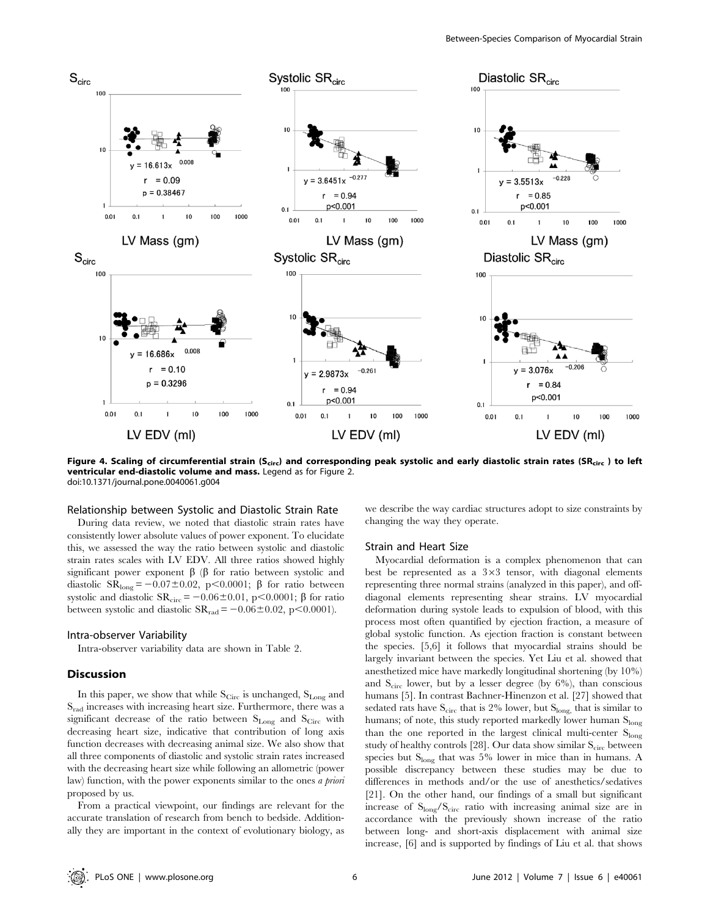

Figure 4. Scaling of circumferential strain (S<sub>circ</sub>) and corresponding peak systolic and early diastolic strain rates (SR<sub>circ</sub>) to left ventricular end-diastolic volume and mass. Legend as for Figure 2. doi:10.1371/journal.pone.0040061.g004

## Relationship between Systolic and Diastolic Strain Rate

During data review, we noted that diastolic strain rates have consistently lower absolute values of power exponent. To elucidate this, we assessed the way the ratio between systolic and diastolic strain rates scales with LV EDV. All three ratios showed highly significant power exponent  $\beta$  ( $\beta$  for ratio between systolic and diastolic  $SR_{long} = -0.07 \pm 0.02$ , p $\lt 0.0001$ ;  $\beta$  for ratio between systolic and diastolic  $SR_{circ} = -0.06 \pm 0.01$ , p $< 0.0001$ ;  $\beta$  for ratio between systolic and diastolic  $SR_{rad} = -0.06 \pm 0.02$ , p $\leq 0.0001$ ).

#### Intra-observer Variability

Intra-observer variability data are shown in Table 2.

# **Discussion**

In this paper, we show that while  $S_{\text{Circ}}$  is unchanged,  $S_{\text{Long}}$  and Srad increases with increasing heart size. Furthermore, there was a significant decrease of the ratio between  $S_{Long}$  and  $S_{Circ}$  with decreasing heart size, indicative that contribution of long axis function decreases with decreasing animal size. We also show that all three components of diastolic and systolic strain rates increased with the decreasing heart size while following an allometric (power law) function, with the power exponents similar to the ones a priori proposed by us.

From a practical viewpoint, our findings are relevant for the accurate translation of research from bench to bedside. Additionally they are important in the context of evolutionary biology, as we describe the way cardiac structures adopt to size constraints by changing the way they operate.

## Strain and Heart Size

Myocardial deformation is a complex phenomenon that can best be represented as a  $3\times3$  tensor, with diagonal elements representing three normal strains (analyzed in this paper), and offdiagonal elements representing shear strains. LV myocardial deformation during systole leads to expulsion of blood, with this process most often quantified by ejection fraction, a measure of global systolic function. As ejection fraction is constant between the species. [5,6] it follows that myocardial strains should be largely invariant between the species. Yet Liu et al. showed that anesthetized mice have markedly longitudinal shortening (by 10%) and  $S_{circ}$  lower, but by a lesser degree (by 6%), than conscious humans [5]. In contrast Bachner-Hinenzon et al. [27] showed that sedated rats have  $S_{\rm circ}$  that is 2% lower, but  $S_{\rm long}$ , that is similar to humans; of note, this study reported markedly lower human Slong than the one reported in the largest clinical multi-center  $S<sub>long</sub>$ study of healthy controls [28]. Our data show similar  $S<sub>circ</sub>$  between species but S<sub>long</sub> that was 5% lower in mice than in humans. A possible discrepancy between these studies may be due to differences in methods and/or the use of anesthetics/sedatives [21]. On the other hand, our findings of a small but significant increase of Slong/Scirc ratio with increasing animal size are in accordance with the previously shown increase of the ratio between long- and short-axis displacement with animal size increase, [6] and is supported by findings of Liu et al. that shows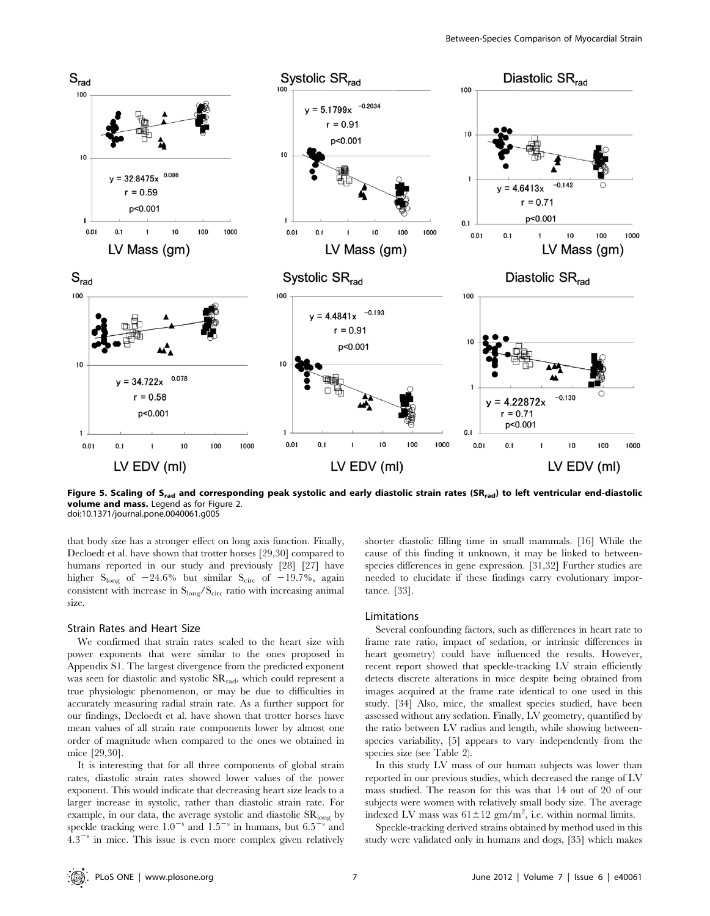

Figure 5. Scaling of S<sub>rad</sub> and corresponding peak systolic and early diastolic strain rates (SR<sub>rad</sub>) to left ventricular end-diastolic volume and mass. Legend as for Figure 2. doi:10.1371/journal.pone.0040061.g005

that body size has a stronger effect on long axis function. Finally, Decloedt et al. have shown that trotter horses [29,30] compared to humans reported in our study and previously [28] [27] have higher  $S_{long}$  of  $-24.6\%$  but similar  $S_{circ}$  of  $-19.7\%$ , again consistent with increase in  $S_{long}/S_{circ}$  ratio with increasing animal size.

#### Strain Rates and Heart Size

We confirmed that strain rates scaled to the heart size with power exponents that were similar to the ones proposed in Appendix S1. The largest divergence from the predicted exponent was seen for diastolic and systolic  $SR_{rad}$ , which could represent a true physiologic phenomenon, or may be due to difficulties in accurately measuring radial strain rate. As a further support for our findings, Decloedt et al. have shown that trotter horses have mean values of all strain rate components lower by almost one order of magnitude when compared to the ones we obtained in mice [29,30].

It is interesting that for all three components of global strain rates, diastolic strain rates showed lower values of the power exponent. This would indicate that decreasing heart size leads to a larger increase in systolic, rather than diastolic strain rate. For example, in our data, the average systolic and diastolic SRlong by speckle tracking were  $1.0^{-s}$  and  $1.5^{-s}$  in humans, but  $6.5^{-s}$  and  $4.3^{-s}$  in mice. This issue is even more complex given relatively

shorter diastolic filling time in small mammals. [16] While the cause of this finding it unknown, it may be linked to betweenspecies differences in gene expression. [31,32] Further studies are needed to elucidate if these findings carry evolutionary importance. [33].

#### Limitations

Several confounding factors, such as differences in heart rate to frame rate ratio, impact of sedation, or intrinsic differences in heart geometry) could have influenced the results. However, recent report showed that speckle-tracking LV strain efficiently detects discrete alterations in mice despite being obtained from images acquired at the frame rate identical to one used in this study. [34] Also, mice, the smallest species studied, have been assessed without any sedation. Finally, LV geometry, quantified by the ratio between LV radius and length, while showing betweenspecies variability, [5] appears to vary independently from the species size (see Table 2).

In this study LV mass of our human subjects was lower than reported in our previous studies, which decreased the range of LV mass studied. The reason for this was that 14 out of 20 of our subjects were women with relatively small body size. The average indexed LV mass was  $61 \pm 12$  gm/m<sup>2</sup>, i.e. within normal limits.

Speckle-tracking derived strains obtained by method used in this study were validated only in humans and dogs, [35] which makes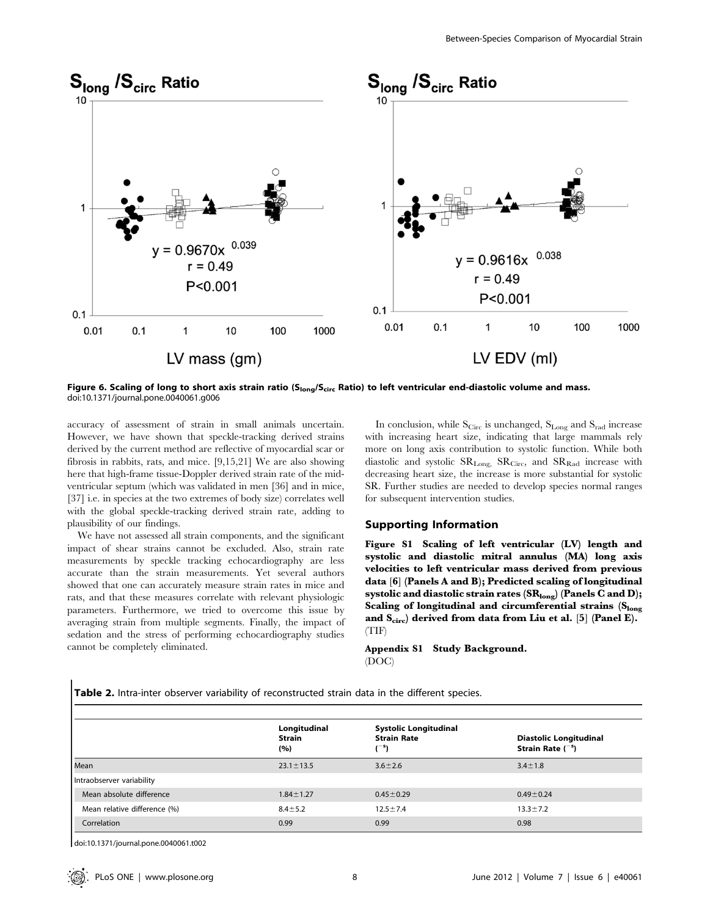

Figure 6. Scaling of long to short axis strain ratio (S<sub>long</sub>/S<sub>circ</sub> Ratio) to left ventricular end-diastolic volume and mass. doi:10.1371/journal.pone.0040061.g006

accuracy of assessment of strain in small animals uncertain. However, we have shown that speckle-tracking derived strains derived by the current method are reflective of myocardial scar or fibrosis in rabbits, rats, and mice. [9,15,21] We are also showing here that high-frame tissue-Doppler derived strain rate of the midventricular septum (which was validated in men [36] and in mice, [37] i.e. in species at the two extremes of body size) correlates well with the global speckle-tracking derived strain rate, adding to plausibility of our findings.

We have not assessed all strain components, and the significant impact of shear strains cannot be excluded. Also, strain rate measurements by speckle tracking echocardiography are less accurate than the strain measurements. Yet several authors showed that one can accurately measure strain rates in mice and rats, and that these measures correlate with relevant physiologic parameters. Furthermore, we tried to overcome this issue by averaging strain from multiple segments. Finally, the impact of sedation and the stress of performing echocardiography studies cannot be completely eliminated.

In conclusion, while  $S_{\text{Circ}}$  is unchanged,  $S_{\text{Long}}$  and  $S_{\text{rad}}$  increase with increasing heart size, indicating that large mammals rely more on long axis contribution to systolic function. While both diastolic and systolic  $SR_{Long}$ ,  $SR_{Circ}$ , and  $SR_{Rad}$  increase with decreasing heart size, the increase is more substantial for systolic SR. Further studies are needed to develop species normal ranges for subsequent intervention studies.

# Supporting Information

Figure S1 Scaling of left ventricular (LV) length and systolic and diastolic mitral annulus (MA) long axis velocities to left ventricular mass derived from previous data [6] (Panels A and B); Predicted scaling of longitudinal systolic and diastolic strain rates  $(SR_{long})$  (Panels C and D); Scaling of longitudinal and circumferential strains (Slong and  $S_{circ}$ ) derived from data from Liu et al. [5] (Panel E). (TIF)

Appendix S1 Study Background. (DOC)

Table 2. Intra-inter observer variability of reconstructed strain data in the different species.

|                              | Longitudinal         |                                                                         |                                                              |  |  |
|------------------------------|----------------------|-------------------------------------------------------------------------|--------------------------------------------------------------|--|--|
|                              | <b>Strain</b><br>(%) | <b>Systolic Longitudinal</b><br><b>Strain Rate</b><br>1 <sup>-5</sup> 1 | <b>Diastolic Longitudinal</b><br>Strain Rate $\binom{-s}{s}$ |  |  |
| Mean                         | $23.1 \pm 13.5$      | $3.6 \pm 2.6$                                                           | $3.4 \pm 1.8$                                                |  |  |
| Intraobserver variability    |                      |                                                                         |                                                              |  |  |
| Mean absolute difference     | $1.84 \pm 1.27$      | $0.45 \pm 0.29$                                                         | $0.49 \pm 0.24$                                              |  |  |
| Mean relative difference (%) | $8.4 \pm 5.2$        | $12.5 \pm 7.4$                                                          | $13.3 \pm 7.2$                                               |  |  |
| Correlation                  | 0.99                 | 0.99                                                                    | 0.98                                                         |  |  |

doi:10.1371/journal.pone.0040061.t002